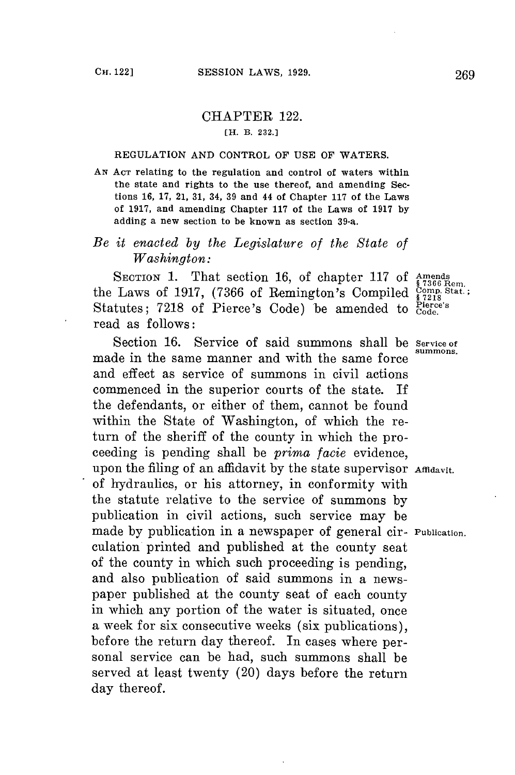## CHAPTER 122. **[H. B, 232.]**

## **REGULATION AND CONTROL OF USE OF WATERS.**

*AN* **ACT relating to the regulation and control of waters within the state and rights to the use thereof, and amending Sections 16, 17, 21, 31, 34, 39 and 44 of Chapter 117 of the Laws of 1917, and amending Chapter 117 of the Laws of 1917 by adding a new section to be known as section 39-a.**

## *Be it enacted by the Legislature of the State of Washington:*

SECTION 1. That section 16, of chapter 117 of Amends<br>the Laws of 1917, (7366 of Remington's Compiled  $\frac{\text{Compind}}{\text{s }7218}$ Statutes; 7218 of Pierce's Code) be amended to  $_{Code.}^{Picice's}$ read as follows:

Section 16. Service of said summons shall be Service of made in the same manner and with the same force and effect as service of summons in civil actions commenced in the superior courts of the state. If the defendants, or either of them, cannot be found within the State of Washington, of which the return of the sheriff of the county in which the proceeding is pending shall be *prima facie* evidence, upon the filing of an affidavit by the state supervisor Affidavit. of hydraulics, or his attorney, in conformity with the statute relative to the service of summons **by** publication in civil actions, such service may be made **by** publication in a newspaper of general cir- Publication. culation printed and published at the county seat of the county in which such proceeding is pending, and also publication of said summons in a newspaper published at the county seat of each county in which any portion of the water is situated, once a week for six consecutive weeks (six publications), before the return day thereof. In cases where personal service can be had, such summons shall be served at least twenty (20) days before the return day thereof.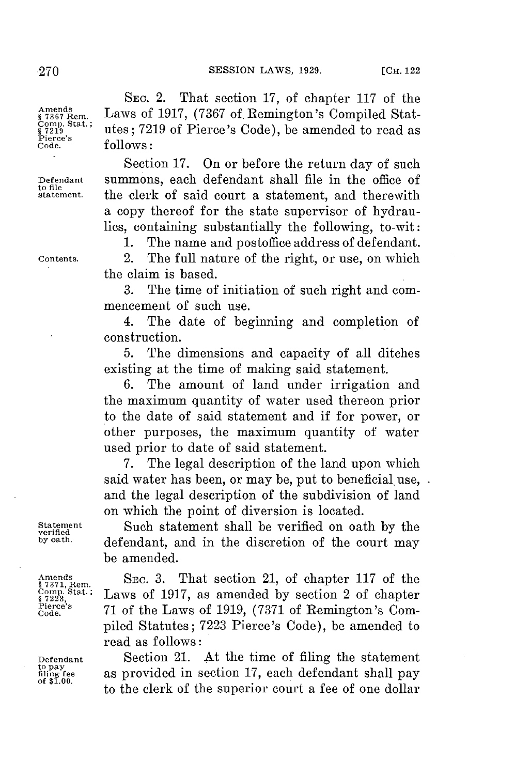**SESSION LAWS, 1929.** [CH. 1229]

Laws of 1917, (7367 of Remington's Compiled Stat-

**§7219** utes; **7219** of Pierce's Code), be amended to read as

**SEC.** 2. That section **17,** of chapter **117** of the

**Amends Comp. Stat.;** s 7219<br>Pierce's<br>Code

**to file**

**Code. follows:** Section **17.** On or before the return day of such **Defendant** summons, each defendant shall file in the office of **statement.** the clerk of said court a statement, and therewith a copy thereof for the state supervisor of hydrau-

lics, containing substantially the following, to-wit: **1.** The name and postoffice address of defendant. **Contents.** 2. The full nature of the right, or use, on which

the claim is based.

**3.** The time of initiation of such right and commencement of such use.

4. The date of beginning and completion of construction.

**5.** The dimensions and capacity of all ditches existing at the time of making said statement.

The amount of land under irrigation and the maximum quantity of water used thereon prior to the date of said statement and if for power, or other purposes, the maximum quantity of water used prior to date of said statement.

**7.** The legal description of the land upon which said water has been, or may be, put to beneficial use, . and the legal description of the subdivision of land on which the point of diversion is located.

**Statement** Such statement shall be verified on oath **by** the **verified** defendant, and in the discretion of the court may be amended.

Amends **SEC. 3.** That section 21, of chapter 117 of the <sup>State</sup> Laws of 1917, as amended by section 2 of chapter<br><sup>Pierce's</sup> <sup>71</sup> of the Laws of 1919, (7271 of Bomington's Com Pieree's **71** of the Laws of **1919, (7371** of Remington's Com- **Code.** piled Statutes; **7223** Pierce's Code), be amended to read as follows:

Defendant **Section 21.** At the time of filing the statement to pay as provided in section 17, each defendant shall pay of \$1.00. **as provided in section 17, each defendant shall pay** to the clerk of the superior court a fee of one dollar

**K** 7371, Rem.<br>Comp. Stat.;<br>§ 7223,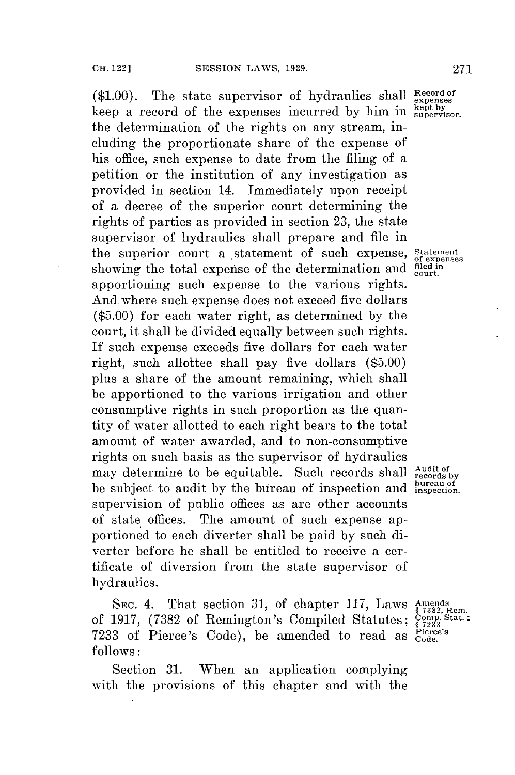(\$1.00). The state supervisor of hydraulics shall Record of keep a record of the expenses incurred by him in **supervisor**. the determination of the rights on any stream, including the proportionate share of the expense of his office, such expense to date from the filing of a petition or the institution of any investigation as provided in section 14. Immediately upon receipt of a decree of the superior court determining the rights of parties as provided in section **23,** the state supervisor of hydraulics shall prepare and file in the superior court a statement of such expense, **Statement of expenses** showing the total expense of the determination and <sup>fled in</sup><br>apportioning such and **in** apportioning such expense to the various rights. And.where such expense does not exceed five dollars **(\$5.00)** for each water right, as determined **by** the court, it shall be divided equally between such rights. If such expense exceeds five dollars for each water right, such allottee shall pay five dollars **(\$5.00)** plus a share of the amount remaining, which shall be apportioned to the various irrigation and other consumptive rights in such proportion as the quantity of water allotted to each right bears to the total amount of water awarded, and to non-consumptive rights on such basis as the supervisor of hydraulics may determine to be equitable. Such records shall **Audit of** records by **be** subject to audit **by** the bureau of inspection and inspetion. supervision of public offices as are other accounts of state offices. The amount of such expense apportioned to each diverter shall **be** paid **by** such diverter before he shall be entitled to receive a certificate of diversion from the state supervisor of hydraulics.

SEc. 4. That section **31,** of chapter **117,** Laws **Amends of 1917, (7382 of Remington's Compiled Statutes;** Comparent Captures, Compiled Statutes; Compiled State. 7233 of Pierce's Code), be amended to read as  $_{\text{Coc}}^{\text{Pie}}$ **follows:**

Section **31.** When an application complying with the provisions of this chapter and with the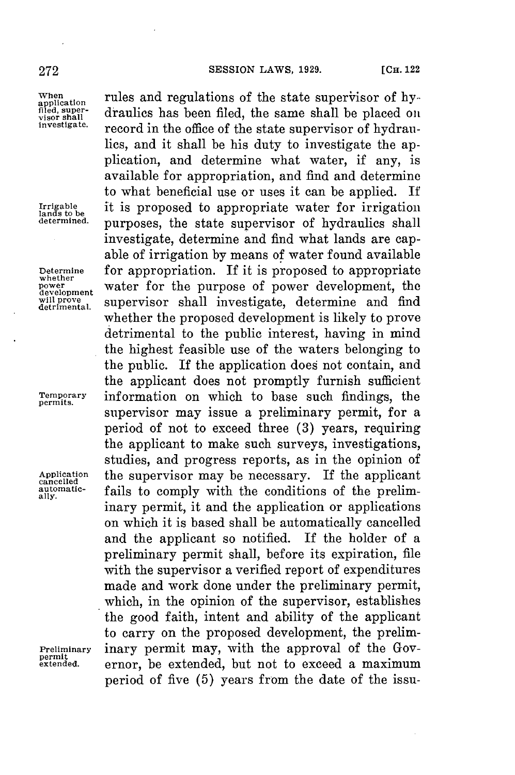## **272 SESSION** LAWS, **1929. [CH.** <sup>122</sup>

permit<br>extended.

When **rules and regulations of the state supervisor of hy-**<br>plied, super-<br>wice shall be placed on visor shall **undered the same shall be placed on** investigate. *record in the office of the state supervisor of hydrau*lics, and it shall be his duty to investigate the application, and determine what water, if any, is available for appropriation, and find and determine to what beneficial use or uses it can be applied. **If** Irrigable it is proposed to appropriate water for irrigation determined. **purposes**, the state supervisor of hydraulics shall investigate, determine and find what lands are capable of irrigation **by** means of water found available **Determine** for appropriation. If it is proposed to appropriate **whether** water **water** for the purpose of power development, the development and find  $\frac{\text{power}}{\text{determined}}$  supervisor shall investigate, determine and find supervisor shall investigate, determine and find whether the proposed development is likely to prove detrimental to the public interest, having in mind the highest feasible use of the waters belonging to the public. If the application does not contain, and the applicant does not promptly furnish sufficient **Temporary** information on which to base such findings, the **permits.** supervisor may issue a preliminary permit, for a period of not to exceed three **(3)** years, requiring the applicant to make such surveys, investigations, studies, and progress reports, as in the opinion of Application the supervisor may be necessary. If the applicant automatic-<br>automatic-<br> $\frac{1}{\text{pi}}$  foils to comply with the conditions of the prolim atmomatic-<br>ally. **fails** to comply with the conditions of the preliminary permit, it and the application or applications on which it is based shall be automatically cancelled and the applicant so notified. If the holder of a preliminary permit shall, before its expiration, file with the supervisor a verified report of expenditures made and work done under the preliminary permit, which, in the opinion of the supervisor, establishes the good faith, intent and ability of the applicant to carry on the proposed development, the prelim-**Preliminary** inary permit may, with the approval of the Governor. be extended, but not to exceed a maximum period of five **(5)** years from the date of the issu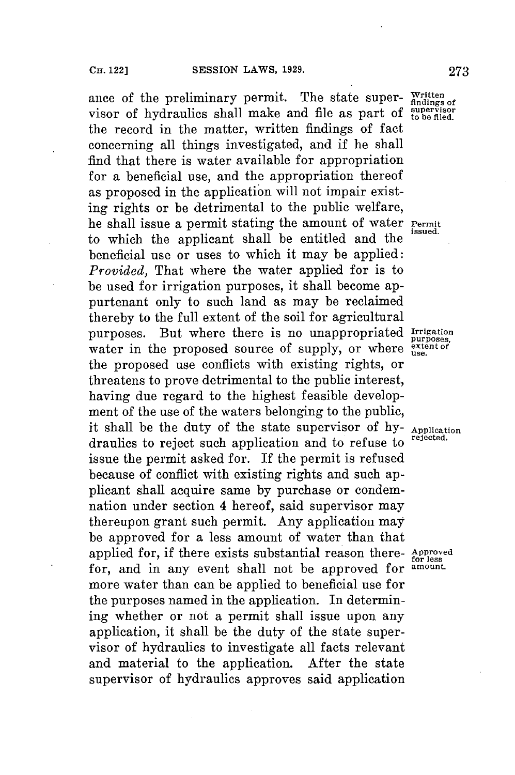ance of the preliminary permit. The state super- Written visor of hydraulics shall make and file as part of **stperiso** the record in the matter, written findings of fact concerning all things investigated, and if he shall find that there is water available for appropriation for a beneficial use, and the appropriation thereof as proposed in the application will not impair existing rights or be detrimental to the public welfare, he shall issue a permit stating the amount of water **Permit** to which the applicant shall **be** entitled and the . beneficial use or uses to which it may be applied: *Provided,* That where the water applied for is to be used for irrigation purposes, it shall become appurtenant only to such land as may be reclaimed thereby to the full extent of the soil for agricultural purposes. But where there is no unappropriated **Irrigation** purposes. But where there is no unappropriated purposes water in the proposed source of supply, or where extent of the proposed use conflicts with existing rights, or threatens to prove detrimental to the public interest, having due regard to the highest feasible development of the use of the waters belonging to the public, ment of the use of the wave because of *hy-* **Application**<br>it shall be the duty of the state supervisor of *hy-* **Application** draulics to reject such application and to refuse to issue the permit asked for. If the permit is refused because of conflict with existing rights and such applicant shall acquire same **by** purchase or condemnation under section 4 hereof, said supervisor may thereupon grant such permit. Any application may be approved for a less amount of water than that applied for, if there exists substantial reason there- Approved<br>for and in any event shall not be approved for amount. for, and in any event shall not be approved for more water than can be applied to beneficial use for the purposes named in the application. In determining whether or not a permit shall issue upon any application, it shall be the duty of the state supervisor of hydraulics to investigate all facts relevant and material to the application. After the state supervisor of hydraulics approves said application

**issued.**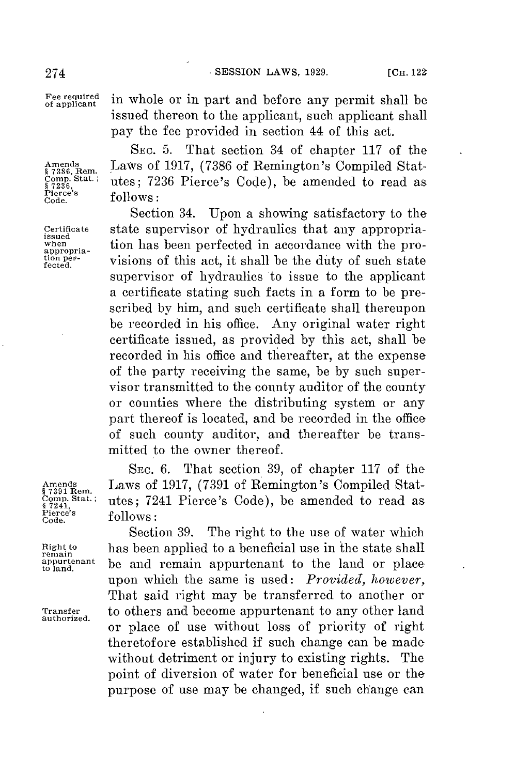274 **SESSION LAWS, 1929.** [CH. 1229]

**Pierce's** follows:

Fee required in whole or in part and before any permit shall be issued thereon to the applicant, such applicant shall pay the **fee** provided in section 44 of this act.

**SEC. 5.** That section 34 of chapter **117** of the Amends **Laws of 1917, (7386 of Remington's Compiled Stat-** §7386, Rem. **b**86, Rem. **§7386**, Rem. **§7386**, Rem. **§7386**, Rem. **§7986**, Rem. §  $\frac{\text{c}_{\text{sum}}\text{S}_{\text{sat}}\text{S}_{\text{in}}}{\text{Ric}_{\text{max}}\text{S}_{\text{in}}\text{S}_{\text{out}}\text{S}_{\text{out}}\text{S}_{\text{out}}\text{S}_{\text{out}}\text{S}_{\text{out}}\text{S}_{\text{out}}\text{S}_{\text{out}}\text{S}_{\text{out}}\text{S}_{\text{out}}\text{S}_{\text{out}}\text{S}_{\text{out}}\text{S}_{\text{out}}\text{S}_{\text{out}}\text{S}_{\text{out}}\text{S}_{\text{out}}\text{S}_{\text{out}}\text{S}_{\text$ 

Section 34. Upon a showing satisfactory to the **Certificate** state supervisor of hydraulics that any appropria- **issued** when tion has been perfected in accordance with the pro-<br>appropria-<br>tion per-<br>visions of this act, it shall be the duty of such state. **fctder-** visions of this act, it shall be the duty of such state supervisor of hydraulics to issue to the applicant a certificate stating such facts in a form to be prescribed **by** him, and such certificate shall thereupon be recorded in his office. Any original water right certificate issued, as provided **by** this act, shall be recorded in his office and thereafter, at the expense of the party receiving the same, be **by** such supervisor transmitted to the county auditor of the county or counties where the distributing system or any part thereof is located, and be recorded in the office of such county auditor, and thereafter be transmitted to the owner thereof.

**SEC. 6.** That section **39,** of chapter **117** of the Amends Laws of **1917, (7391** of Remington's Compiled Stat **c**utes; 7241 Pierce's Code), be amended to read as **follows**:

Section **39.** The right to the use of water which **Right to** has been applied to a beneficial use in ihe state shall **remain to land,** be and remain appurtenant to the land or place upon which the same is used: *Provided, however*, That said right may be transferred to another or **Transfer** to others and become appurtenant to any other land **authorized.** or place of use without loss of priority of right theretofore established **if** such change can be made without detriment or injury to existing rights. The point of diversion of water for beneficial use or the purpose of use may be changed, if such change can

**§ 7391** Rern. **Pierce's follows:**

**appurtenant**<br>to land.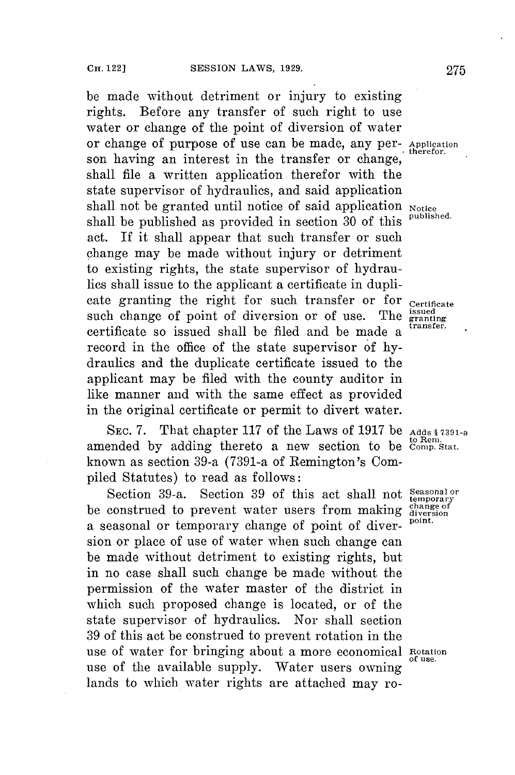**be** made without detriment or injury to existing rights. Before any transfer of such right to use water or change of the point of diversion of water or change of purpose of use can be made, any per- **Application** son having an interest in the transfer or change, shall file a written application therefor with the state supervisor of hydraulics, and said application shall not be granted until notice of said application **Notice** shall be published as provided in section **30** of this **published.** act. If it shall appear that such transfer or such change may be made without injury or detriment to existing rights, the state supervisor of hydraulics shall issue to the applicant a certificate in duplicate granting the right for such transfer or for **Certificate** such change of point of diversion or of use. The **issued** certificate so issued shall be filed and be made a record in the office of the state supervisor of **hy**draulics and the duplicate certificate issued to the applicant may **be** filed with the county auditor in like manner and with the same effect as provided in the original certificate or permit to divert water.

**SEC. 7.** That chapter **117** of the Laws of **1917** be **Adds § 7391-a to Rem.** amended **by** adding thereto a new section to be **Comp. Stat.** known as section 39-a (7391-a of Remington's Compiled Statutes) to read as follows:

Section 39-a. Section 39 of this act shall not **Seasonal** or be construed to prevent water users from making diversion point. a seasonal or temporary change of point of diver- **point.** sion or place of use of water when such change can be made without detriment to existing rights, but in no case shall such change be made without the permission of the water master of the district in which such proposed change is located, or of the state supervisor of hydraulics. Nor shall section **39** of this act **be** construed to prevent rotation in the use of water for bringing about a more economical Rotation use of the available supply. Water users owning lands to which water rights are attached may ro-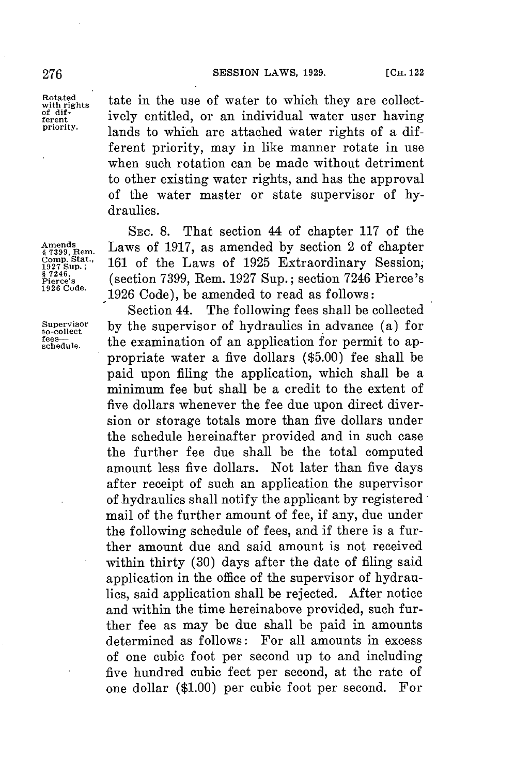**Rotated** tate in the use of water to which they are collect-<br>of dif-<sup>of dif-</sup><br>ferent ively entitled, or an individual water user having<br>priority. lands to which are attached water rights of a different priority, may in like manner rotate in use when such rotation can be made without detriment to other existing water rights, and has the approval of the water master or state supervisor of **hy**draulics.

SEC. **8.** That section 44 of chapter **117** of the Amends<br>§<sup>7399</sup>, Rem. Laws of 1917, as amended by section 2 of chapter Comp. Stat.,<br>1927 Sup.; 161 of the Laws of 1925 Extraordinary Session, **Comp. Stat.**, **161 of the Laws of 1925 Extraordinary Session**, 87246, Pierce's (section 7399, Rem. 1927 Sup.; section 7246 Pierce's 1926 Code. (section 7399, Rem. 1927 Sup.; section 7246 Pierce's **1926 Code. 1926** Code), be amended to read as follows:

Section 44. The following fees shall be collected **Supervisor by** the supervisor of hydraulics in advance (a) for **to-collect schedule.** the examination of an application **for** permit to appropriate water a five dollars **(\$5.00)** fee shall be paid upon filing the application, which shall be a minimum **fee** but shall be a credit to the extent of five dollars whenever the fee due upon direct diversion or storage totals more than five dollars under the schedule hereinafter provided and in such case the further **fee** due shall be the total computed amount less five dollars. Not later than five days after receipt of such an application the supervisor of hydraulics shall notify the applicant **by** registered mail of the further amount of fee, if any, due under the following schedule of fees, and if there is a further amount due and said amount is not received within thirty **(30)** days after the date of filing said application in the office of the supervisor of hydraulics, said application shall be rejected. After notice and within the time hereinabove provided, such further fee as may be due shall be paid in amounts determined as follows: For all amounts in excess of one cubic foot per second up to and including five hundred cubic feet per second, at the rate of one dollar **(\$1.00)** per cubic foot per second. For

fees-<br>schedule.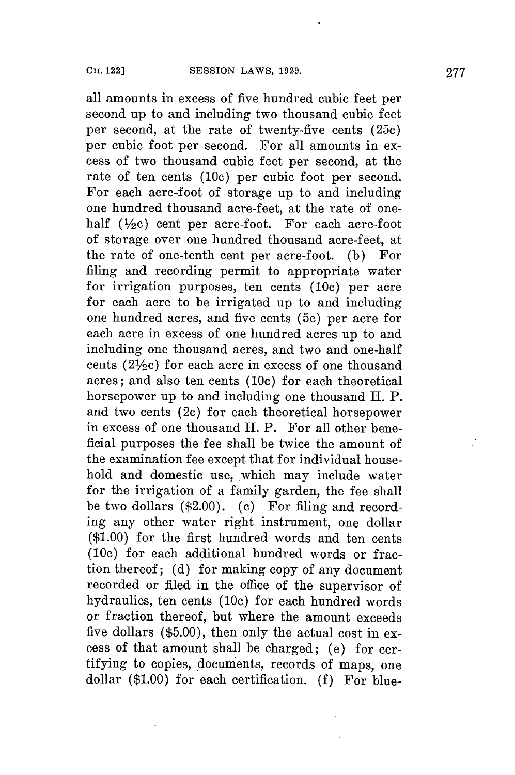all amounts in excess of five hundred cubic feet per second up to and including two thousand cubic feet per second, at the rate of twenty-five cents (25c) per cubic foot per second. For all amounts in excess of two thousand cubic feet per second, at the rate of ten cents **(10c)** per cubic foot per second. For each acre-foot of storage up to and including one hundred thousand acre-feet, at the rate of onehalf ( $\frac{1}{2}c$ ) cent per acre-foot. For each acre-foo of storage over one hundred thousand acre-feet, at the rate of one-tenth cent per acre-foot. **(b)** For filing and recording permit to appropriate water for irrigation purposes, ten cents (10c) per acre **for** each acre to be irrigated up to and including one hundred acres, and five cents **(5c)** per acre **for** each acre in excess of one hundred acres up to and including one thousand acres, and two and one-half cents ( $2\frac{1}{2}c$ ) for each acre in excess of one thousand acres; and also ten cents **(10c)** for each theoretical horsepower up to and including one thousand H. P. and two cents (2c) for each theoretical horsepower in excess of one thousand H. P. For all other beneficial purposes the fee shall be twice the amount of the examination fee except that **for** individual household and domestic use, which may include water for the irrigation of a family garden, the fee shall be two dollars (\$2.00). (c) For filing and recording any other water right instrument, one dollar **(\$1.00)** for the first hundred words and ten cents (10c) for each additional hundred words or fraction thereof; **(d)** for making copy of any document recorded or filed in the office of the supervisor of hydraulics, ten cents **(10c)** for each hundred words or fraction thereof, but where the amount exceeds five dollars **(\$5.00),** then only the actual cost in excess of that amount shall be charged; (e) for certifying to copies, docunents, records of maps, one dollar **(\$1.00)** for each certification. **(f)** For blue-